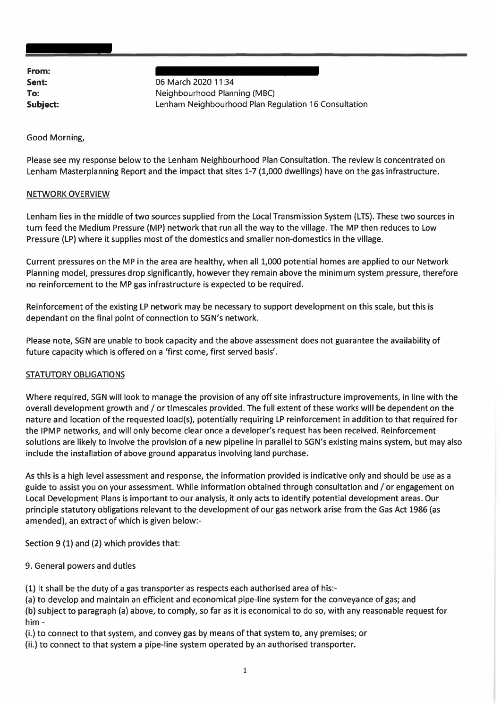From:

Sent: 06 March 2020 11:34 To: Neighbourhood Planning (MBC) **Subject:** Lenham Neighbourhood Plan Regulation 16 Consultation 19

Good Morning,

Please see my response below to the Lenham Neighbourhood Plan Consultation. The review is concentrated on Lenham Masterplanning Report and the impact that sites 1-7 (1,000 dwellings) have on the gas infrastructure.

## NETWORK OVERVIEW

Lenham lies in the middle of two sources supplied from the Local Transmission System (LTS). These two sourcesin turn feed the Medium Pressure (MP) network that run all the way to the village. The MP then reduces to Low Pressure (LP) where it supplies most of the domestics and smaller non-domestics in the village.

Current pressures on the MP in the area are healthy, when all 1,000 potential homes are applied to our Network Planning model, pressures drop significantly, however they remain above the minimum system pressure, therefore no reinforcement to the MP gas infrastructure is expected to be required.

Reinforcement of the existing LP network may be necessary to support development on this scale, but this is dependant on the final point of connection to SGN's network.

Please note, SGN are unable to book capacity and the above assessment does not guarantee the availability of future capacity which is offered on a 'first come, first served basis'.

## STATUTORY OBLIGATIONS

Where required, SGN will look to manage the provision of any off site infrastructure improvements, in line with the overall development growth and / or timescales provided. The full extent of these works will be dependent on the nature and location of the requested load(s), potentially requiring LP reinforcementin addition to that required for the IPMP networks, and will only become clear once a developer's request has been received. Reinforcement solutions are likely to involve the provision of a new pipeline in parallel to SGN's existing mains system, but may also include the installation of above ground apparatus involving land purchase.

Asthis is a high level assessment and response, the information provided is indicative only and should be use as <sup>a</sup> guide to assist you on your assessment. While information obtained through consultation and / or engagement on Local Development Plans is important to our analysis, it only acts to identify potential development areas. Our principle statutory obligations relevant to the development of our gas network arise from the Gas Act 1986 (as amended), an extract of which is given below:-

Section 9 (1) and (2) which provides that:

9. General powers and duties

(1) It shall be the duty of a gas transporter as respects each authorised area of his:-

(a) to develop and maintain an efficient and economical pipe-line system for the conveyance of gas; and (b) subject to paragraph (a) above, to comply, so far as it is economical to do so, with any reasonable request for him -

{i.) to connect to that system, and convey gas by means of that system to, any premises; or

(ii.) to connect to that system a pipe-line system operated by an authorised transporter.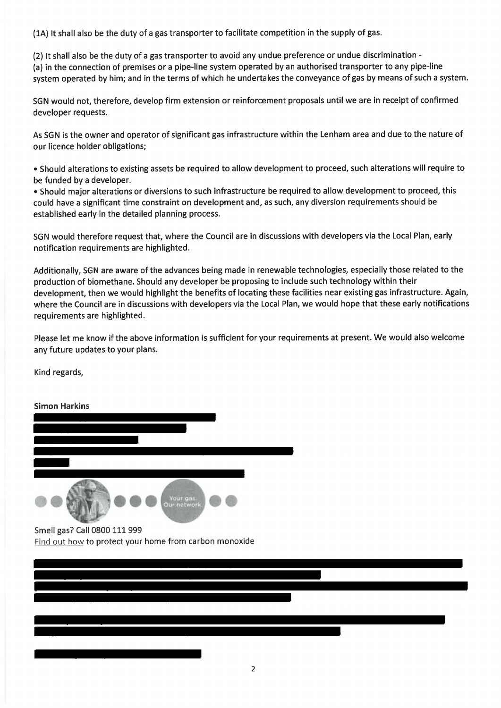(1A) It shall also be the duty of <sup>a</sup> gas transporter to facilitate competition in the supply of gas.

(2) It shall also be the duty of a gas transporter to avoid any undue preference or undue discrimination - (a) in the connection of premises or a pipe-line system operated by an authorised transporter to any pipe-line system operated by him; and in the terms of which he undertakes the conveyance of gas by means of such a system.

SGN would not, therefore, develop firm extension or reinforcement proposals until we are in receipt of confirmed developer requests.

As SGN is the owner and operator of significant gas infrastructure within the Lenham area and due to the nature of our licence holder obligations;

<sup>e</sup> Should alterations to existing assets be required to allow development to proceed, such alterations will require to be funded by a developer.

• Should major alterations or diversions to such infrastructure be required to allow development to proceed, this could have a significant time constraint on development and, as such, any diversion requirements should be established early in the detailed planning process.

SGN would therefore request that, where the Council are in discussions with developers via the Local Plan, early notification requirements are highlighted.

Additionally, SGN are aware of the advances being made in renewable technologies, especially those related to the production of biomethane. Should any developer be proposing to include such technology within their development, then we would highlight the benefits of locating these facilities near existing gas infrastructure. Again, where the Council are in discussions with developers via the Local Plan, we would hope that these early notifications requirements are highlighted.

Please let me know if the above information is sufficient for your requirements at present. We would also welcome any future updates to your plans.

Kind regards,

## Simon Harkins



Smell gas? Call 0800 111 999 Find out how to protect your home from carbon monoxide